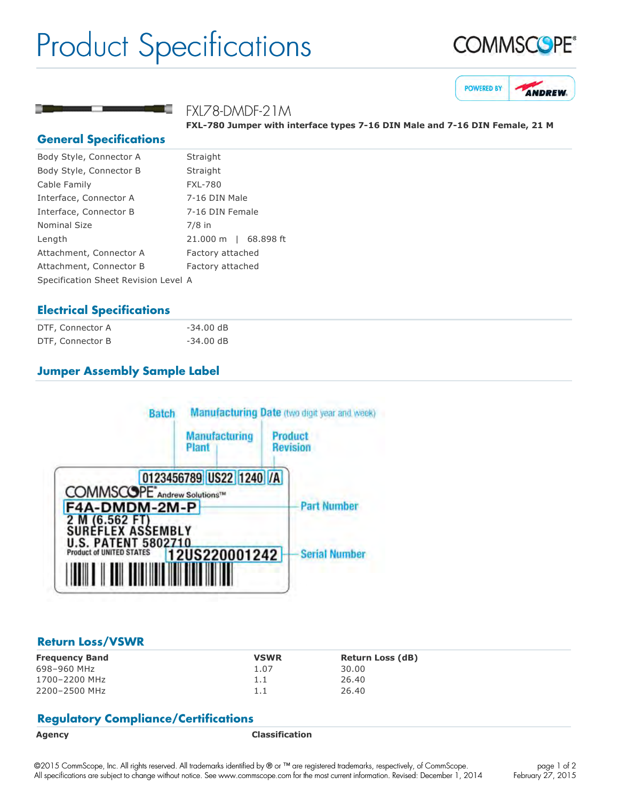# Product Specifications





### FXL78-DMDF-21M

**FXL780 Jumper with interface types 716 DIN Male and 716 DIN Female, 21 M**

#### **General Specifications**

| Body Style, Connector A              | Straight             |  |
|--------------------------------------|----------------------|--|
| Body Style, Connector B              | Straight             |  |
| Cable Family                         | <b>FXL-780</b>       |  |
| Interface, Connector A               | 7-16 DIN Male        |  |
| Interface, Connector B               | 7-16 DIN Female      |  |
| Nominal Size                         | $7/8$ in             |  |
| Length                               | 21.000 m   68.898 ft |  |
| Attachment, Connector A              | Factory attached     |  |
| Attachment, Connector B              | Factory attached     |  |
| Specification Sheet Revision Level A |                      |  |
|                                      |                      |  |

### **Electrical Specifications**

| DTF, Connector A | $-34.00$ dB |
|------------------|-------------|
| DTF, Connector B | $-34.00$ dB |

## **Jumper Assembly Sample Label**



#### **Return Loss/VSWR**

| <b>Frequency Band</b> | <b>VSWR</b> | <b>Return Loss (dB)</b> |
|-----------------------|-------------|-------------------------|
| 698-960 MHz           | 1.07        | 30.00                   |
| 1700-2200 MHz         | 1.1         | 26.40                   |
| 2200-2500 MHz         | 1.1         | 26.40                   |

#### **Regulatory Compliance/Certifications**

**Agency Classification**